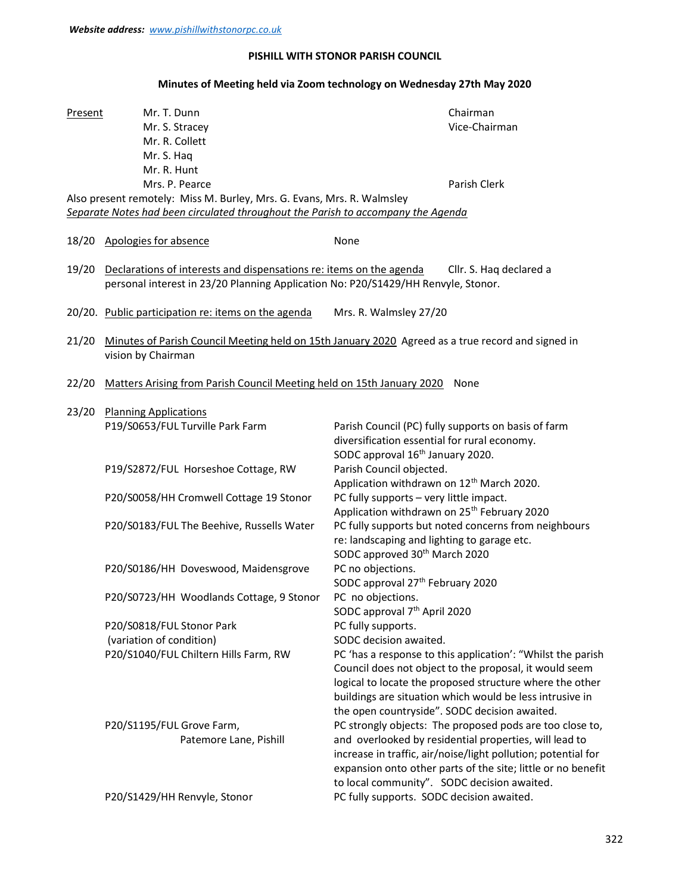## PISHILL WITH STONOR PARISH COUNCIL

## Minutes of Meeting held via Zoom technology on Wednesday 27th May 2020

| Present | Mr. T. Dunn<br>Mr. S. Stracey<br>Mr. R. Collett<br>Mr. S. Haq<br>Mr. R. Hunt                                                                                                        | Chairman<br>Vice-Chairman                                                                                                                                                                                                                                                                          |  |  |  |  |
|---------|-------------------------------------------------------------------------------------------------------------------------------------------------------------------------------------|----------------------------------------------------------------------------------------------------------------------------------------------------------------------------------------------------------------------------------------------------------------------------------------------------|--|--|--|--|
|         | Mrs. P. Pearce<br>Also present remotely: Miss M. Burley, Mrs. G. Evans, Mrs. R. Walmsley<br>Separate Notes had been circulated throughout the Parish to accompany the Agenda        | Parish Clerk                                                                                                                                                                                                                                                                                       |  |  |  |  |
| 18/20   | Apologies for absence                                                                                                                                                               | None                                                                                                                                                                                                                                                                                               |  |  |  |  |
| 19/20   | Declarations of interests and dispensations re: items on the agenda<br>Cllr. S. Haq declared a<br>personal interest in 23/20 Planning Application No: P20/S1429/HH Renvyle, Stonor. |                                                                                                                                                                                                                                                                                                    |  |  |  |  |
|         | 20/20. Public participation re: items on the agenda                                                                                                                                 | Mrs. R. Walmsley 27/20                                                                                                                                                                                                                                                                             |  |  |  |  |
| 21/20   | Minutes of Parish Council Meeting held on 15th January 2020 Agreed as a true record and signed in<br>vision by Chairman                                                             |                                                                                                                                                                                                                                                                                                    |  |  |  |  |
| 22/20   | Matters Arising from Parish Council Meeting held on 15th January 2020 None                                                                                                          |                                                                                                                                                                                                                                                                                                    |  |  |  |  |
| 23/20   | <b>Planning Applications</b><br>P19/S0653/FUL Turville Park Farm                                                                                                                    | Parish Council (PC) fully supports on basis of farm<br>diversification essential for rural economy.                                                                                                                                                                                                |  |  |  |  |
|         | P19/S2872/FUL Horseshoe Cottage, RW                                                                                                                                                 | SODC approval 16 <sup>th</sup> January 2020.<br>Parish Council objected.<br>Application withdrawn on 12 <sup>th</sup> March 2020.                                                                                                                                                                  |  |  |  |  |
|         | P20/S0058/HH Cromwell Cottage 19 Stonor                                                                                                                                             | PC fully supports - very little impact.<br>Application withdrawn on 25 <sup>th</sup> February 2020                                                                                                                                                                                                 |  |  |  |  |
|         | P20/S0183/FUL The Beehive, Russells Water                                                                                                                                           | PC fully supports but noted concerns from neighbours<br>re: landscaping and lighting to garage etc.<br>SODC approved 30 <sup>th</sup> March 2020                                                                                                                                                   |  |  |  |  |
|         | P20/S0186/HH Doveswood, Maidensgrove                                                                                                                                                | PC no objections.<br>SODC approval 27 <sup>th</sup> February 2020                                                                                                                                                                                                                                  |  |  |  |  |
|         | P20/S0723/HH Woodlands Cottage, 9 Stonor                                                                                                                                            | PC no objections.<br>SODC approval 7 <sup>th</sup> April 2020                                                                                                                                                                                                                                      |  |  |  |  |
|         | P20/S0818/FUL Stonor Park<br>(variation of condition)                                                                                                                               | PC fully supports.<br>SODC decision awaited.                                                                                                                                                                                                                                                       |  |  |  |  |
|         | P20/S1040/FUL Chiltern Hills Farm, RW                                                                                                                                               | PC 'has a response to this application': "Whilst the parish<br>Council does not object to the proposal, it would seem<br>logical to locate the proposed structure where the other<br>buildings are situation which would be less intrusive in<br>the open countryside". SODC decision awaited.     |  |  |  |  |
|         | P20/S1195/FUL Grove Farm,<br>Patemore Lane, Pishill                                                                                                                                 | PC strongly objects: The proposed pods are too close to,<br>and overlooked by residential properties, will lead to<br>increase in traffic, air/noise/light pollution; potential for<br>expansion onto other parts of the site; little or no benefit<br>to local community". SODC decision awaited. |  |  |  |  |
|         | P20/S1429/HH Renvyle, Stonor                                                                                                                                                        | PC fully supports. SODC decision awaited.                                                                                                                                                                                                                                                          |  |  |  |  |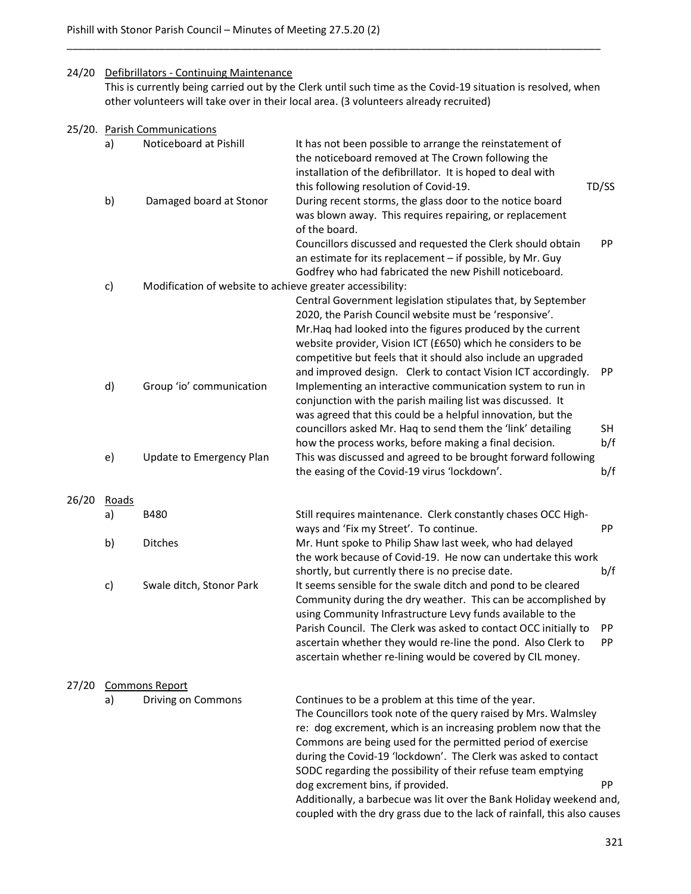## 24/20 Defibrillators - Continuing Maintenance

 This is currently being carried out by the Clerk until such time as the Covid-19 situation is resolved, when other volunteers will take over in their local area. (3 volunteers already recruited)

\_\_\_\_\_\_\_\_\_\_\_\_\_\_\_\_\_\_\_\_\_\_\_\_\_\_\_\_\_\_\_\_\_\_\_\_\_\_\_\_\_\_\_\_\_\_\_\_\_\_\_\_\_\_\_\_\_\_\_\_\_\_\_\_\_\_\_\_\_\_\_\_\_\_\_\_\_\_\_\_\_\_\_\_\_\_\_\_\_\_\_\_

|       |       | 25/20. Parish Communications                              |                                                                                                                                                                                                                                                                                                                                                                                                                                                                                                                                                                                        |  |  |  |  |
|-------|-------|-----------------------------------------------------------|----------------------------------------------------------------------------------------------------------------------------------------------------------------------------------------------------------------------------------------------------------------------------------------------------------------------------------------------------------------------------------------------------------------------------------------------------------------------------------------------------------------------------------------------------------------------------------------|--|--|--|--|
|       | a)    | Noticeboard at Pishill                                    | It has not been possible to arrange the reinstatement of<br>the noticeboard removed at The Crown following the<br>installation of the defibrillator. It is hoped to deal with<br>this following resolution of Covid-19.<br>TD/SS                                                                                                                                                                                                                                                                                                                                                       |  |  |  |  |
|       | b)    | Damaged board at Stonor                                   | During recent storms, the glass door to the notice board<br>was blown away. This requires repairing, or replacement<br>of the board.<br>Councillors discussed and requested the Clerk should obtain<br>PP                                                                                                                                                                                                                                                                                                                                                                              |  |  |  |  |
|       |       |                                                           | an estimate for its replacement - if possible, by Mr. Guy<br>Godfrey who had fabricated the new Pishill noticeboard.                                                                                                                                                                                                                                                                                                                                                                                                                                                                   |  |  |  |  |
|       | c)    | Modification of website to achieve greater accessibility: | Central Government legislation stipulates that, by September<br>2020, the Parish Council website must be 'responsive'.<br>Mr. Haq had looked into the figures produced by the current<br>website provider, Vision ICT (£650) which he considers to be                                                                                                                                                                                                                                                                                                                                  |  |  |  |  |
|       | d)    | Group 'io' communication                                  | competitive but feels that it should also include an upgraded<br>and improved design. Clerk to contact Vision ICT accordingly.<br>PP<br>Implementing an interactive communication system to run in<br>conjunction with the parish mailing list was discussed. It<br>was agreed that this could be a helpful innovation, but the<br>councillors asked Mr. Hag to send them the 'link' detailing<br><b>SH</b>                                                                                                                                                                            |  |  |  |  |
|       | e)    | Update to Emergency Plan                                  | b/f<br>how the process works, before making a final decision.<br>This was discussed and agreed to be brought forward following<br>b/f<br>the easing of the Covid-19 virus 'lockdown'.                                                                                                                                                                                                                                                                                                                                                                                                  |  |  |  |  |
| 26/20 | Roads |                                                           |                                                                                                                                                                                                                                                                                                                                                                                                                                                                                                                                                                                        |  |  |  |  |
|       | a)    | <b>B480</b>                                               | Still requires maintenance. Clerk constantly chases OCC High-<br>PP                                                                                                                                                                                                                                                                                                                                                                                                                                                                                                                    |  |  |  |  |
|       | b)    | Ditches                                                   | ways and 'Fix my Street'. To continue.<br>Mr. Hunt spoke to Philip Shaw last week, who had delayed<br>the work because of Covid-19. He now can undertake this work                                                                                                                                                                                                                                                                                                                                                                                                                     |  |  |  |  |
|       | c)    | Swale ditch, Stonor Park                                  | shortly, but currently there is no precise date.<br>b/f<br>It seems sensible for the swale ditch and pond to be cleared<br>Community during the dry weather. This can be accomplished by<br>using Community Infrastructure Levy funds available to the<br>Parish Council. The Clerk was asked to contact OCC initially to PP<br>ascertain whether they would re-line the pond. Also Clerk to<br>PP<br>ascertain whether re-lining would be covered by CIL money.                                                                                                                       |  |  |  |  |
|       |       |                                                           |                                                                                                                                                                                                                                                                                                                                                                                                                                                                                                                                                                                        |  |  |  |  |
| 27/20 | a)    | <b>Commons Report</b><br>Driving on Commons               | Continues to be a problem at this time of the year.<br>The Councillors took note of the query raised by Mrs. Walmsley<br>re: dog excrement, which is an increasing problem now that the<br>Commons are being used for the permitted period of exercise<br>during the Covid-19 'lockdown'. The Clerk was asked to contact<br>SODC regarding the possibility of their refuse team emptying<br>dog excrement bins, if provided.<br>PP.<br>Additionally, a barbecue was lit over the Bank Holiday weekend and,<br>coupled with the dry grass due to the lack of rainfall, this also causes |  |  |  |  |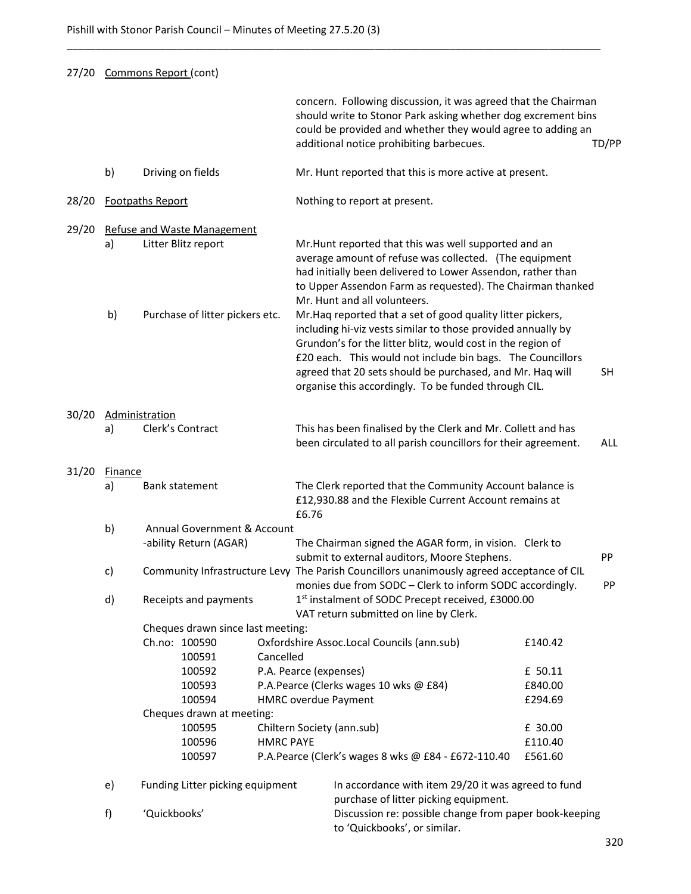|       | 27/20 Commons Report (cont) |                                                       |                             |                                                                                                                                                                                                                                                                                                                                                                               |         |            |
|-------|-----------------------------|-------------------------------------------------------|-----------------------------|-------------------------------------------------------------------------------------------------------------------------------------------------------------------------------------------------------------------------------------------------------------------------------------------------------------------------------------------------------------------------------|---------|------------|
|       |                             |                                                       |                             | concern. Following discussion, it was agreed that the Chairman<br>should write to Stonor Park asking whether dog excrement bins<br>could be provided and whether they would agree to adding an<br>additional notice prohibiting barbecues.                                                                                                                                    |         | TD/PP      |
|       | b)                          | Driving on fields                                     |                             | Mr. Hunt reported that this is more active at present.                                                                                                                                                                                                                                                                                                                        |         |            |
| 28/20 |                             | <b>Footpaths Report</b>                               |                             | Nothing to report at present.                                                                                                                                                                                                                                                                                                                                                 |         |            |
| 29/20 |                             | <b>Refuse and Waste Management</b>                    |                             |                                                                                                                                                                                                                                                                                                                                                                               |         |            |
|       | a)                          | Litter Blitz report                                   |                             | Mr. Hunt reported that this was well supported and an<br>average amount of refuse was collected. (The equipment<br>had initially been delivered to Lower Assendon, rather than<br>to Upper Assendon Farm as requested). The Chairman thanked<br>Mr. Hunt and all volunteers.                                                                                                  |         |            |
|       | b)                          | Purchase of litter pickers etc.                       |                             | Mr. Haq reported that a set of good quality litter pickers,<br>including hi-viz vests similar to those provided annually by<br>Grundon's for the litter blitz, would cost in the region of<br>£20 each. This would not include bin bags. The Councillors<br>agreed that 20 sets should be purchased, and Mr. Haq will<br>organise this accordingly. To be funded through CIL. |         | <b>SH</b>  |
| 30/20 |                             | Administration                                        |                             |                                                                                                                                                                                                                                                                                                                                                                               |         |            |
|       | a)                          | Clerk's Contract                                      |                             | This has been finalised by the Clerk and Mr. Collett and has<br>been circulated to all parish councillors for their agreement.                                                                                                                                                                                                                                                |         | <b>ALL</b> |
| 31/20 | Finance                     |                                                       |                             |                                                                                                                                                                                                                                                                                                                                                                               |         |            |
|       | a)                          | Bank statement                                        | £6.76                       | The Clerk reported that the Community Account balance is<br>£12,930.88 and the Flexible Current Account remains at                                                                                                                                                                                                                                                            |         |            |
|       | b)                          | Annual Government & Account<br>-ability Return (AGAR) |                             | The Chairman signed the AGAR form, in vision. Clerk to<br>submit to external auditors, Moore Stephens.                                                                                                                                                                                                                                                                        |         | PP         |
|       | c)                          |                                                       |                             | Community Infrastructure Levy The Parish Councillors unanimously agreed acceptance of CIL<br>monies due from SODC - Clerk to inform SODC accordingly.                                                                                                                                                                                                                         |         | PP         |
|       | d)                          | Receipts and payments                                 |                             | 1st instalment of SODC Precept received, £3000.00<br>VAT return submitted on line by Clerk.                                                                                                                                                                                                                                                                                   |         |            |
|       |                             | Cheques drawn since last meeting:                     |                             |                                                                                                                                                                                                                                                                                                                                                                               |         |            |
|       |                             | Ch.no: 100590                                         |                             | Oxfordshire Assoc.Local Councils (ann.sub)                                                                                                                                                                                                                                                                                                                                    | £140.42 |            |
|       |                             | 100591                                                | Cancelled                   |                                                                                                                                                                                                                                                                                                                                                                               |         |            |
|       |                             | 100592                                                | P.A. Pearce (expenses)      |                                                                                                                                                                                                                                                                                                                                                                               | £ 50.11 |            |
|       |                             | 100593                                                |                             | P.A.Pearce (Clerks wages 10 wks @ £84)                                                                                                                                                                                                                                                                                                                                        | £840.00 |            |
|       |                             | 100594                                                | <b>HMRC overdue Payment</b> |                                                                                                                                                                                                                                                                                                                                                                               | £294.69 |            |
|       |                             | Cheques drawn at meeting:                             |                             |                                                                                                                                                                                                                                                                                                                                                                               |         |            |
|       |                             | 100595                                                | Chiltern Society (ann.sub)  |                                                                                                                                                                                                                                                                                                                                                                               | £ 30.00 |            |
|       |                             | 100596                                                | <b>HMRC PAYE</b>            |                                                                                                                                                                                                                                                                                                                                                                               | £110.40 |            |
|       |                             | 100597                                                |                             | P.A.Pearce (Clerk's wages 8 wks @ £84 - £672-110.40                                                                                                                                                                                                                                                                                                                           | £561.60 |            |
|       | e)                          | Funding Litter picking equipment                      |                             | In accordance with item 29/20 it was agreed to fund<br>purchase of litter picking equipment.                                                                                                                                                                                                                                                                                  |         |            |
|       | f)                          | 'Quickbooks'                                          |                             | Discussion re: possible change from paper book-keeping<br>to 'Quickbooks', or similar.                                                                                                                                                                                                                                                                                        |         |            |

\_\_\_\_\_\_\_\_\_\_\_\_\_\_\_\_\_\_\_\_\_\_\_\_\_\_\_\_\_\_\_\_\_\_\_\_\_\_\_\_\_\_\_\_\_\_\_\_\_\_\_\_\_\_\_\_\_\_\_\_\_\_\_\_\_\_\_\_\_\_\_\_\_\_\_\_\_\_\_\_\_\_\_\_\_\_\_\_\_\_\_\_